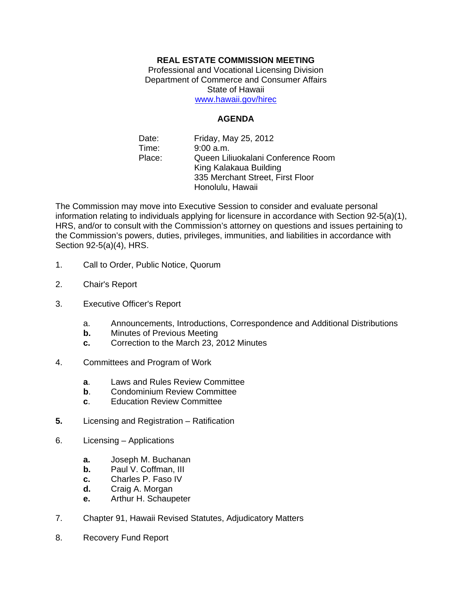## **REAL ESTATE COMMISSION MEETING**

Professional and Vocational Licensing Division Department of Commerce and Consumer Affairs State of Hawaii www.hawaii.gov/hirec

## **AGENDA**

Date: Friday, May 25, 2012 Time: 9:00 a.m. Place: Queen Liliuokalani Conference Room King Kalakaua Building 335 Merchant Street, First Floor Honolulu, Hawaii

The Commission may move into Executive Session to consider and evaluate personal information relating to individuals applying for licensure in accordance with Section 92-5(a)(1), HRS, and/or to consult with the Commission's attorney on questions and issues pertaining to the Commission's powers, duties, privileges, immunities, and liabilities in accordance with Section 92-5(a)(4), HRS.

- 1. Call to Order, Public Notice, Quorum
- 2. Chair's Report
- 3. Executive Officer's Report
	- a. Announcements, Introductions, Correspondence and Additional Distributions
	- **b.** Minutes of Previous Meeting
	- **c.** Correction to the March 23, 2012 Minutes
- 4. Committees and Program of Work
	- **a**. Laws and Rules Review Committee
	- **b.** Condominium Review Committee
	- **c**. Education Review Committee
- **5.** Licensing and Registration Ratification
- 6. Licensing Applications
	- **a.** Joseph M. Buchanan
	- **b.** Paul V. Coffman, III
	- **c.** Charles P. Faso IV
	- **d.** Craig A. Morgan
	- **e.** Arthur H. Schaupeter
- 7. Chapter 91, Hawaii Revised Statutes, Adjudicatory Matters
- 8. Recovery Fund Report